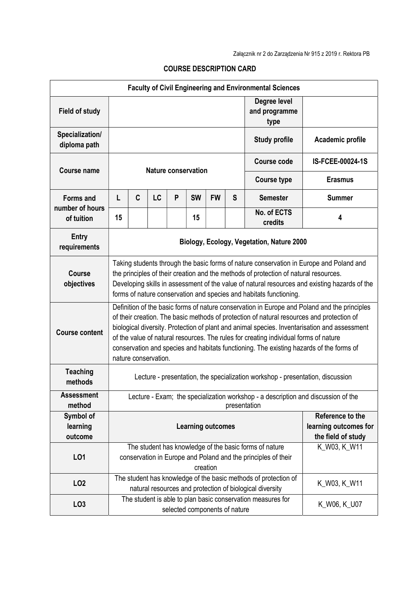| <b>Faculty of Civil Engineering and Environmental Sciences</b> |                                                                                                                                                                                                                                                                                                                                                                                                                                                                                                      |                                                                                                                                                     |    |   |                               |                                                                 |   |                                                                                                                             |                  |
|----------------------------------------------------------------|------------------------------------------------------------------------------------------------------------------------------------------------------------------------------------------------------------------------------------------------------------------------------------------------------------------------------------------------------------------------------------------------------------------------------------------------------------------------------------------------------|-----------------------------------------------------------------------------------------------------------------------------------------------------|----|---|-------------------------------|-----------------------------------------------------------------|---|-----------------------------------------------------------------------------------------------------------------------------|------------------|
| <b>Field of study</b>                                          |                                                                                                                                                                                                                                                                                                                                                                                                                                                                                                      |                                                                                                                                                     |    |   |                               |                                                                 |   | Degree level<br>and programme<br>type                                                                                       |                  |
| Specialization/<br>diploma path                                |                                                                                                                                                                                                                                                                                                                                                                                                                                                                                                      |                                                                                                                                                     |    |   |                               |                                                                 |   | <b>Study profile</b>                                                                                                        | Academic profile |
| <b>Course name</b>                                             | <b>Nature conservation</b>                                                                                                                                                                                                                                                                                                                                                                                                                                                                           |                                                                                                                                                     |    |   |                               |                                                                 |   | <b>Course code</b>                                                                                                          | IS-FCEE-00024-1S |
|                                                                |                                                                                                                                                                                                                                                                                                                                                                                                                                                                                                      |                                                                                                                                                     |    |   |                               |                                                                 |   | <b>Course type</b><br><b>Semester</b>                                                                                       | <b>Erasmus</b>   |
| <b>Forms and</b>                                               | L                                                                                                                                                                                                                                                                                                                                                                                                                                                                                                    | C                                                                                                                                                   | LC | P | <b>SW</b>                     | <b>FW</b>                                                       | S |                                                                                                                             | <b>Summer</b>    |
| number of hours<br>of tuition                                  | 15                                                                                                                                                                                                                                                                                                                                                                                                                                                                                                   |                                                                                                                                                     |    |   | 15                            |                                                                 |   | No. of ECTS<br>credits                                                                                                      | 4                |
| <b>Entry</b><br>requirements                                   | Biology, Ecology, Vegetation, Nature 2000                                                                                                                                                                                                                                                                                                                                                                                                                                                            |                                                                                                                                                     |    |   |                               |                                                                 |   |                                                                                                                             |                  |
| <b>Course</b><br>objectives                                    | Taking students through the basic forms of nature conservation in Europe and Poland and<br>the principles of their creation and the methods of protection of natural resources.<br>Developing skills in assessment of the value of natural resources and existing hazards of the<br>forms of nature conservation and species and habitats functioning.                                                                                                                                               |                                                                                                                                                     |    |   |                               |                                                                 |   |                                                                                                                             |                  |
| <b>Course content</b>                                          | Definition of the basic forms of nature conservation in Europe and Poland and the principles<br>of their creation. The basic methods of protection of natural resources and protection of<br>biological diversity. Protection of plant and animal species. Inventarisation and assessment<br>of the value of natural resources. The rules for creating individual forms of nature<br>conservation and species and habitats functioning. The existing hazards of the forms of<br>nature conservation. |                                                                                                                                                     |    |   |                               |                                                                 |   |                                                                                                                             |                  |
| <b>Teaching</b><br>methods                                     | Lecture - presentation, the specialization workshop - presentation, discussion                                                                                                                                                                                                                                                                                                                                                                                                                       |                                                                                                                                                     |    |   |                               |                                                                 |   |                                                                                                                             |                  |
| <b>Assessment</b><br>method                                    | Lecture - Exam; the specialization workshop - a description and discussion of the<br>presentation                                                                                                                                                                                                                                                                                                                                                                                                    |                                                                                                                                                     |    |   |                               |                                                                 |   |                                                                                                                             |                  |
| Symbol of<br>learning<br>outcome                               | <b>Learning outcomes</b>                                                                                                                                                                                                                                                                                                                                                                                                                                                                             |                                                                                                                                                     |    |   |                               | Reference to the<br>learning outcomes for<br>the field of study |   |                                                                                                                             |                  |
| LO1                                                            |                                                                                                                                                                                                                                                                                                                                                                                                                                                                                                      | K W03, K W11<br>The student has knowledge of the basic forms of nature<br>conservation in Europe and Poland and the principles of their<br>creation |    |   |                               |                                                                 |   |                                                                                                                             |                  |
| <b>LO2</b>                                                     |                                                                                                                                                                                                                                                                                                                                                                                                                                                                                                      |                                                                                                                                                     |    |   |                               |                                                                 |   | The student has knowledge of the basic methods of protection of<br>natural resources and protection of biological diversity | K_W03, K_W11     |
| LO <sub>3</sub>                                                |                                                                                                                                                                                                                                                                                                                                                                                                                                                                                                      |                                                                                                                                                     |    |   | selected components of nature |                                                                 |   | The student is able to plan basic conservation measures for                                                                 | K_W06, K_U07     |

## COURSE DESCRIPTION CARD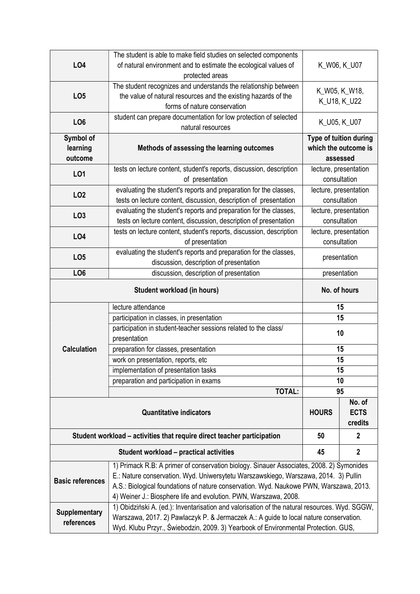|                                                                         | The student is able to make field studies on selected components                                                                                                            |                                       |               |  |  |  |  |  |
|-------------------------------------------------------------------------|-----------------------------------------------------------------------------------------------------------------------------------------------------------------------------|---------------------------------------|---------------|--|--|--|--|--|
| <b>LO4</b>                                                              | of natural environment and to estimate the ecological values of                                                                                                             | K_W06, K_U07                          |               |  |  |  |  |  |
|                                                                         | protected areas                                                                                                                                                             |                                       |               |  |  |  |  |  |
|                                                                         | The student recognizes and understands the relationship between                                                                                                             |                                       | K_W05, K_W18, |  |  |  |  |  |
| LO <sub>5</sub>                                                         | the value of natural resources and the existing hazards of the                                                                                                              |                                       | K_U18, K_U22  |  |  |  |  |  |
|                                                                         | forms of nature conservation                                                                                                                                                |                                       |               |  |  |  |  |  |
| LO <sub>6</sub>                                                         | student can prepare documentation for low protection of selected<br>natural resources                                                                                       |                                       | K_U05, K_U07  |  |  |  |  |  |
| Symbol of                                                               |                                                                                                                                                                             | Type of tuition during                |               |  |  |  |  |  |
| learning                                                                | Methods of assessing the learning outcomes                                                                                                                                  | which the outcome is                  |               |  |  |  |  |  |
| outcome                                                                 |                                                                                                                                                                             | assessed                              |               |  |  |  |  |  |
|                                                                         | tests on lecture content, student's reports, discussion, description                                                                                                        | lecture, presentation                 |               |  |  |  |  |  |
| LO1                                                                     | of presentation                                                                                                                                                             | consultation                          |               |  |  |  |  |  |
|                                                                         | evaluating the student's reports and preparation for the classes,                                                                                                           | lecture, presentation                 |               |  |  |  |  |  |
| LO <sub>2</sub>                                                         | tests on lecture content, discussion, description of presentation                                                                                                           | consultation                          |               |  |  |  |  |  |
| LO <sub>3</sub>                                                         | evaluating the student's reports and preparation for the classes,                                                                                                           | lecture, presentation<br>consultation |               |  |  |  |  |  |
|                                                                         | tests on lecture content, discussion, description of presentation                                                                                                           |                                       |               |  |  |  |  |  |
| <b>LO4</b>                                                              | tests on lecture content, student's reports, discussion, description                                                                                                        | lecture, presentation                 |               |  |  |  |  |  |
|                                                                         | of presentation                                                                                                                                                             | consultation                          |               |  |  |  |  |  |
| LO <sub>5</sub>                                                         | evaluating the student's reports and preparation for the classes,                                                                                                           | presentation                          |               |  |  |  |  |  |
|                                                                         | discussion, description of presentation                                                                                                                                     |                                       |               |  |  |  |  |  |
| LO <sub>6</sub>                                                         | discussion, description of presentation<br>presentation                                                                                                                     |                                       |               |  |  |  |  |  |
|                                                                         | No. of hours                                                                                                                                                                |                                       |               |  |  |  |  |  |
|                                                                         | lecture attendance                                                                                                                                                          | 15                                    |               |  |  |  |  |  |
|                                                                         | participation in classes, in presentation                                                                                                                                   | 15                                    |               |  |  |  |  |  |
|                                                                         | participation in student-teacher sessions related to the class/                                                                                                             | 10                                    |               |  |  |  |  |  |
|                                                                         | presentation                                                                                                                                                                |                                       |               |  |  |  |  |  |
| <b>Calculation</b>                                                      | preparation for classes, presentation                                                                                                                                       | 15                                    |               |  |  |  |  |  |
|                                                                         | work on presentation, reports, etc                                                                                                                                          | 15                                    |               |  |  |  |  |  |
|                                                                         | implementation of presentation tasks                                                                                                                                        | 15                                    |               |  |  |  |  |  |
|                                                                         | preparation and participation in exams<br><b>TOTAL:</b>                                                                                                                     | 10<br>95                              |               |  |  |  |  |  |
|                                                                         |                                                                                                                                                                             |                                       |               |  |  |  |  |  |
|                                                                         | <b>HOURS</b>                                                                                                                                                                | No. of<br><b>ECTS</b><br>credits      |               |  |  |  |  |  |
| Student workload – activities that require direct teacher participation | 50                                                                                                                                                                          | $\mathbf{2}$                          |               |  |  |  |  |  |
|                                                                         | 45                                                                                                                                                                          | $\mathbf 2$                           |               |  |  |  |  |  |
|                                                                         | 1) Primack R.B: A primer of conservation biology. Sinauer Associates, 2008. 2) Symonides                                                                                    |                                       |               |  |  |  |  |  |
|                                                                         |                                                                                                                                                                             |                                       |               |  |  |  |  |  |
|                                                                         | E.: Nature conservation. Wyd. Uniwersytetu Warszawskiego, Warszawa, 2014. 3) Pullin                                                                                         |                                       |               |  |  |  |  |  |
| <b>Basic references</b>                                                 | A.S.: Biological foundations of nature conservation. Wyd. Naukowe PWN, Warszawa, 2013.                                                                                      |                                       |               |  |  |  |  |  |
|                                                                         | 4) Weiner J.: Biosphere life and evolution. PWN, Warszawa, 2008.                                                                                                            |                                       |               |  |  |  |  |  |
|                                                                         | 1) Obidziński A. (ed.): Inventarisation and valorisation of the natural resources. Wyd. SGGW,                                                                               |                                       |               |  |  |  |  |  |
| <b>Supplementary</b><br>references                                      | Warszawa, 2017. 2) Pawlaczyk P. & Jermaczek A.: A guide to local nature conservation.<br>Wyd. Klubu Przyr., Świebodzin, 2009. 3) Yearbook of Environmental Protection. GUS, |                                       |               |  |  |  |  |  |